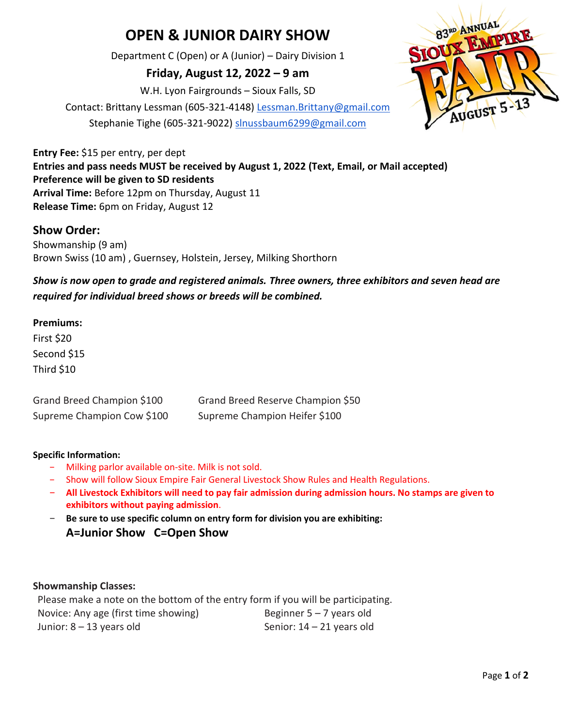# **OPEN & JUNIOR DAIRY SHOW**

Department C (Open) or A (Junior) – Dairy Division 1

**Friday, August 12, 2022 – 9 am**

W.H. Lyon Fairgrounds – Sioux Falls, SD

Contact: Brittany Lessman (605-321-4148) [Lessman.Brittany@gmail.com](mailto:Lessman.Brittany@gmail.com) Stephanie Tighe (605-321-9022) [slnussbaum6299@gmail.com](mailto:slnussbaum6299@gmail.com)



**Entry Fee:** \$15 per entry, per dept **Entries and pass needs MUST be received by August 1, 2022 (Text, Email, or Mail accepted) Preference will be given to SD residents Arrival Time:** Before 12pm on Thursday, August 11 **Release Time:** 6pm on Friday, August 12

### **Show Order:**

Showmanship (9 am) Brown Swiss (10 am) , Guernsey, Holstein, Jersey, Milking Shorthorn

*Show is now open to grade and registered animals. Three owners, three exhibitors and seven head are required for individual breed shows or breeds will be combined.* 

#### **Premiums:**

First \$20 Second \$15 Third \$10

Grand Breed Champion \$100 Grand Breed Reserve Champion \$50 Supreme Champion Cow \$100 Supreme Champion Heifer \$100

#### **Specific Information:**

- − Milking parlor available on-site. Milk is not sold.
- − Show will follow Sioux Empire Fair General Livestock Show Rules and Health Regulations.
- − **All Livestock Exhibitors will need to pay fair admission during admission hours. No stamps are given to exhibitors without paying admission**.
- − **Be sure to use specific column on entry form for division you are exhibiting: A=Junior Show C=Open Show**

#### **Showmanship Classes:**

Please make a note on the bottom of the entry form if you will be participating. Novice: Any age (first time showing) Beginner  $5 - 7$  years old Junior: 8 – 13 years old Senior: 14 – 21 years old